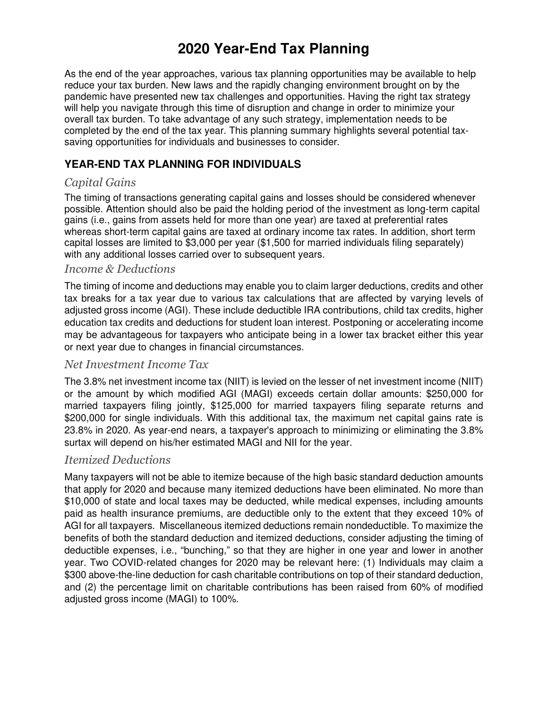# **2020 Year-End Tax Planning**

As the end of the year approaches, various tax planning opportunities may be available to help reduce your tax burden. New laws and the rapidly changing environment brought on by the pandemic have presented new tax challenges and opportunities. Having the right tax strategy will help you navigate through this time of disruption and change in order to minimize your overall tax burden. To take advantage of any such strategy, implementation needs to be completed by the end of the tax year. This planning summary highlights several potential taxsaving opportunities for individuals and businesses to consider.

## **YEAR-END TAX PLANNING FOR INDIVIDUALS**

## *Capital Gains*

The timing of transactions generating capital gains and losses should be considered whenever possible. Attention should also be paid the holding period of the investment as long-term capital gains (i.e., gains from assets held for more than one year) are taxed at preferential rates whereas short-term capital gains are taxed at ordinary income tax rates. In addition, short term capital losses are limited to \$3,000 per year (\$1,500 for married individuals filing separately) with any additional losses carried over to subsequent years.

#### *Income & Deductions*

The timing of income and deductions may enable you to claim larger deductions, credits and other tax breaks for a tax year due to various tax calculations that are affected by varying levels of adjusted gross income (AGI). These include deductible IRA contributions, child tax credits, higher education tax credits and deductions for student loan interest. Postponing or accelerating income may be advantageous for taxpayers who anticipate being in a lower tax bracket either this year or next year due to changes in financial circumstances.

#### *Net Investment Income Tax*

The 3.8% net investment income tax (NIIT) is levied on the lesser of net investment income (NIIT) or the amount by which modified AGI (MAGI) exceeds certain dollar amounts: \$250,000 for married taxpayers filing jointly, \$125,000 for married taxpayers filing separate returns and \$200,000 for single individuals. With this additional tax, the maximum net capital gains rate is 23.8% in 2020. As year-end nears, a taxpayer's approach to minimizing or eliminating the 3.8% surtax will depend on his/her estimated MAGI and NII for the year.

## *Itemized Deductions*

Many taxpayers will not be able to itemize because of the high basic standard deduction amounts that apply for 2020 and because many itemized deductions have been eliminated. No more than \$10,000 of state and local taxes may be deducted, while medical expenses, including amounts paid as health insurance premiums, are deductible only to the extent that they exceed 10% of AGI for all taxpayers. Miscellaneous itemized deductions remain nondeductible. To maximize the benefits of both the standard deduction and itemized deductions, consider adjusting the timing of deductible expenses, i.e., "bunching," so that they are higher in one year and lower in another year. Two COVID-related changes for 2020 may be relevant here: (1) Individuals may claim a \$300 above-the-line deduction for cash charitable contributions on top of their standard deduction, and (2) the percentage limit on charitable contributions has been raised from 60% of modified adjusted gross income (MAGI) to 100%.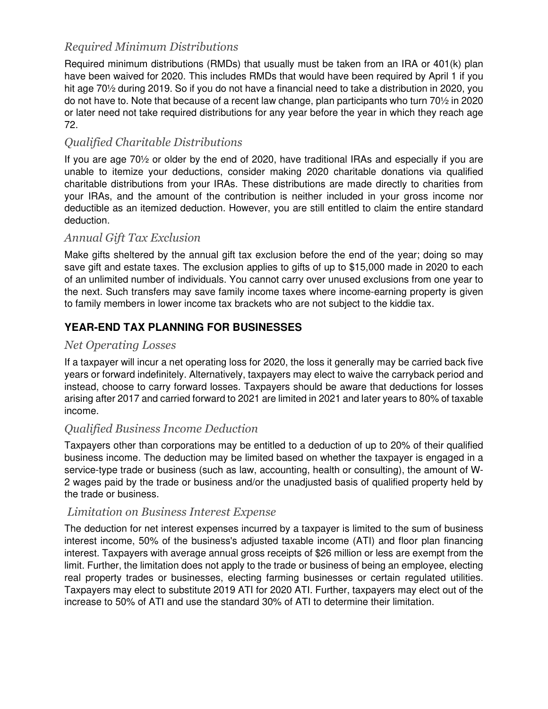# *Required Minimum Distributions*

Required minimum distributions (RMDs) that usually must be taken from an IRA or 401(k) plan have been waived for 2020. This includes RMDs that would have been required by April 1 if you hit age 70<sup>1</sup>/<sub>2</sub> during 2019. So if you do not have a financial need to take a distribution in 2020, you do not have to. Note that because of a recent law change, plan participants who turn 70½ in 2020 or later need not take required distributions for any year before the year in which they reach age 72.

# *Qualified Charitable Distributions*

If you are age 70½ or older by the end of 2020, have traditional IRAs and especially if you are unable to itemize your deductions, consider making 2020 charitable donations via qualified charitable distributions from your IRAs. These distributions are made directly to charities from your IRAs, and the amount of the contribution is neither included in your gross income nor deductible as an itemized deduction. However, you are still entitled to claim the entire standard deduction.

## *Annual Gift Tax Exclusion*

Make gifts sheltered by the annual gift tax exclusion before the end of the year; doing so may save gift and estate taxes. The exclusion applies to gifts of up to \$15,000 made in 2020 to each of an unlimited number of individuals. You cannot carry over unused exclusions from one year to the next. Such transfers may save family income taxes where income-earning property is given to family members in lower income tax brackets who are not subject to the kiddie tax.

# **YEAR-END TAX PLANNING FOR BUSINESSES**

## *Net Operating Losses*

If a taxpayer will incur a net operating loss for 2020, the loss it generally may be carried back five years or forward indefinitely. Alternatively, taxpayers may elect to waive the carryback period and instead, choose to carry forward losses. Taxpayers should be aware that deductions for losses arising after 2017 and carried forward to 2021 are limited in 2021 and later years to 80% of taxable income.

## *Qualified Business Income Deduction*

Taxpayers other than corporations may be entitled to a deduction of up to 20% of their qualified business income. The deduction may be limited based on whether the taxpayer is engaged in a service-type trade or business (such as law, accounting, health or consulting), the amount of W-2 wages paid by the trade or business and/or the unadjusted basis of qualified property held by the trade or business.

## *Limitation on Business Interest Expense*

The deduction for net interest expenses incurred by a taxpayer is limited to the sum of business interest income, 50% of the business's adjusted taxable income (ATI) and floor plan financing interest. Taxpayers with average annual gross receipts of \$26 million or less are exempt from the limit. Further, the limitation does not apply to the trade or business of being an employee, electing real property trades or businesses, electing farming businesses or certain regulated utilities. Taxpayers may elect to substitute 2019 ATI for 2020 ATI. Further, taxpayers may elect out of the increase to 50% of ATI and use the standard 30% of ATI to determine their limitation.